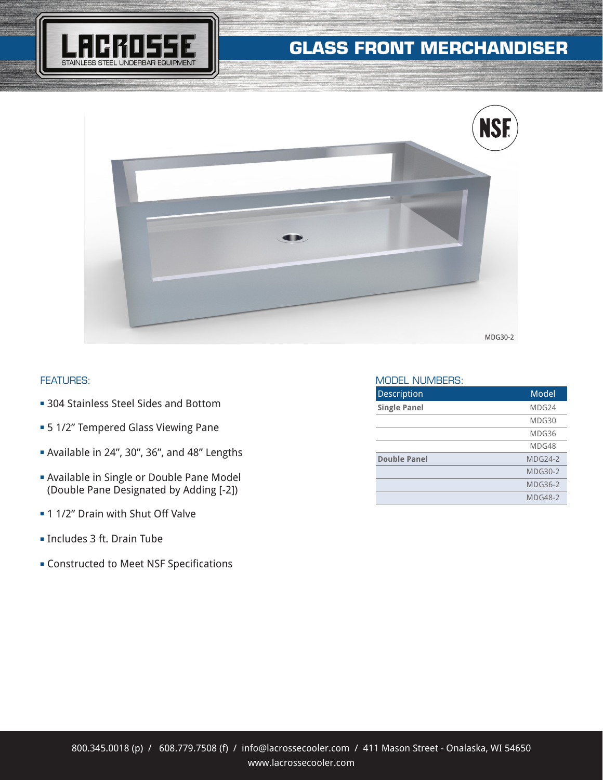# **GLASS FRONT MERCHANDISER**





### FEATURES:

- **304 Stainless Steel Sides and Bottom**
- **= 5 1/2" Tempered Glass Viewing Pane**
- <sup>n</sup> Available in 24", 30", 36", and 48" Lengths
- **E** Available in Single or Double Pane Model (Double Pane Designated by Adding [-2])
- **n** 1 1/2" Drain with Shut Off Valve
- <sup>n</sup> Includes 3 ft. Drain Tube
- **EX Constructed to Meet NSF Specifications**

#### MODEL NUMBERS:

| <b>Description</b>  | Model          |
|---------------------|----------------|
| <b>Single Panel</b> | MDG24          |
|                     | MDG30          |
|                     | MDG36          |
|                     | MDG48          |
| <b>Double Panel</b> | <b>MDG24-2</b> |
|                     | <b>MDG30-2</b> |
|                     | MDG36-2        |
|                     | <b>MDG48-2</b> |